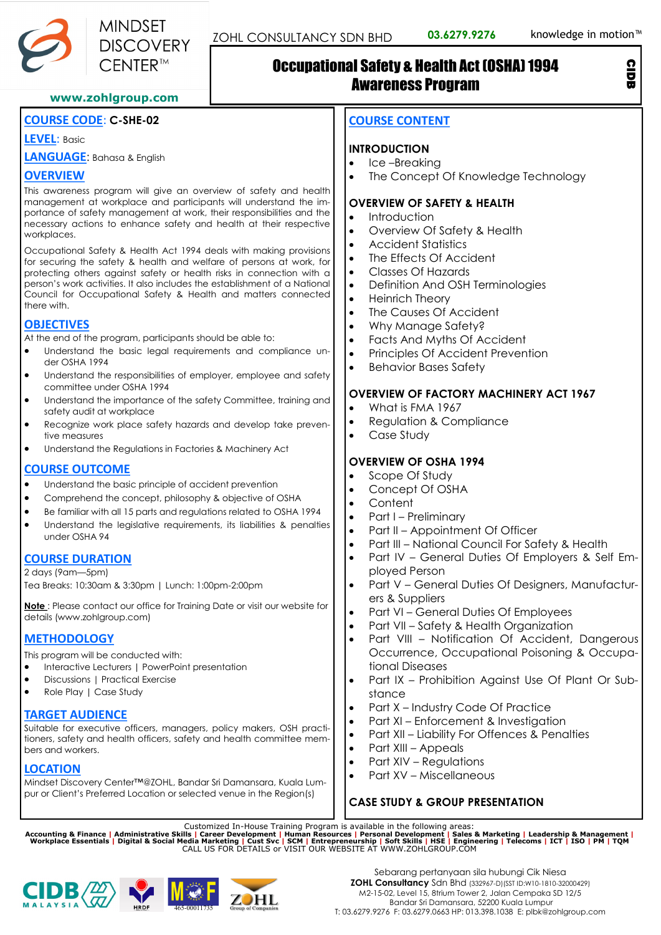

## Occupational Safety & Health Act (OSHA) 1994 Awareness Program

#### **www.zohlgroup.com**

#### **COURSE CODE**: **C-SHE-02**

**LEVEL**: Basic

**LANGUAGE**: Bahasa & English

#### **OVERVIEW**

This awareness program will give an overview of safety and health management at workplace and participants will understand the importance of safety management at work, their responsibilities and the necessary actions to enhance safety and health at their respective workplaces.

Occupational Safety & Health Act 1994 deals with making provisions for securing the safety & health and welfare of persons at work, for protecting others against safety or health risks in connection with a person's work activities. It also includes the establishment of a National Council for Occupational Safety & Health and matters connected there with.

## **OBJECTIVES**

At the end of the program, participants should be able to:

- Understand the basic legal requirements and compliance under OSHA 1994
- Understand the responsibilities of employer, employee and safety committee under OSHA 1994
- Understand the importance of the safety Committee, training and safety audit at workplace
- Recognize work place safety hazards and develop take preventive measures
- Understand the Regulations in Factories & Machinery Act

#### **COURSE OUTCOME**

- Understand the basic principle of accident prevention
- Comprehend the concept, philosophy & objective of OSHA
- Be familiar with all 15 parts and regulations related to OSHA 1994
- Understand the legislative requirements, its liabilities & penalties under OSHA 94

#### **COURSE DURATION**

2 days (9am—5pm) Tea Breaks: 10:30am & 3:30pm | Lunch: 1:00pm-2:00pm

**Note** : Please contact our office for Training Date or visit our website for details (www.zohlgroup.com)

## **METHODOLOGY**

This program will be conducted with:

- Interactive Lecturers | PowerPoint presentation
- Discussions | Practical Exercise
- Role Play | Case Study

## **TARGET AUDIENCE**

Suitable for executive officers, managers, policy makers, OSH practitioners, safety and health officers, safety and health committee members and workers.

## **LOCATION**

Mindset Discovery Center™@ZOHL, Bandar Sri Damansara, Kuala Lumpur or Client's Preferred Location or selected venue in the Region(s)

## **COURSE CONTENT**

## **INTRODUCTION**

- Ice-Breaking
- The Concept Of Knowledge Technology

## **OVERVIEW OF SAFETY & HEALTH**

- **Introduction**
- Overview Of Safety & Health
- Accident Statistics
- The Effects Of Accident
- Classes Of Hazards
- Definition And OSH Terminologies
- Heinrich Theory
- The Causes Of Accident
- Why Manage Safety?
- Facts And Myths Of Accident
- Principles Of Accident Prevention
- Behavior Bases Safety

## **OVERVIEW OF FACTORY MACHINERY ACT 1967**

- What is FMA 1967
- Regulation & Compliance
- Case Study

## **OVERVIEW OF OSHA 1994**

- Scope Of Study
- Concept Of OSHA
- Content
- Part I Preliminary
- Part II Appointment Of Officer
- Part III National Council For Safety & Health
- Part IV General Duties Of Employers & Self Employed Person
- Part V General Duties Of Designers, Manufacturers & Suppliers
- Part VI General Duties Of Employees
- Part VII Safety & Health Organization
- Part VIII Notification Of Accident, Dangerous Occurrence, Occupational Poisoning & Occupational Diseases
- Part IX Prohibition Against Use Of Plant Or Substance
- Part X Industry Code Of Practice
- Part XI Enforcement & Investigation
- Part XII Liability For Offences & Penalties
- Part XIII Appeals
- Part XIV Regulations
- Part XV Miscellaneous

## **CASE STUDY & GROUP PRESENTATION**

Customized In-House Training Program is available in the following areas:<br>Accounting & Finance | Administrative Skills | Career Development | Human Resources | Personal Development | Sales & Marketing | Leadership & Manage





CIDB